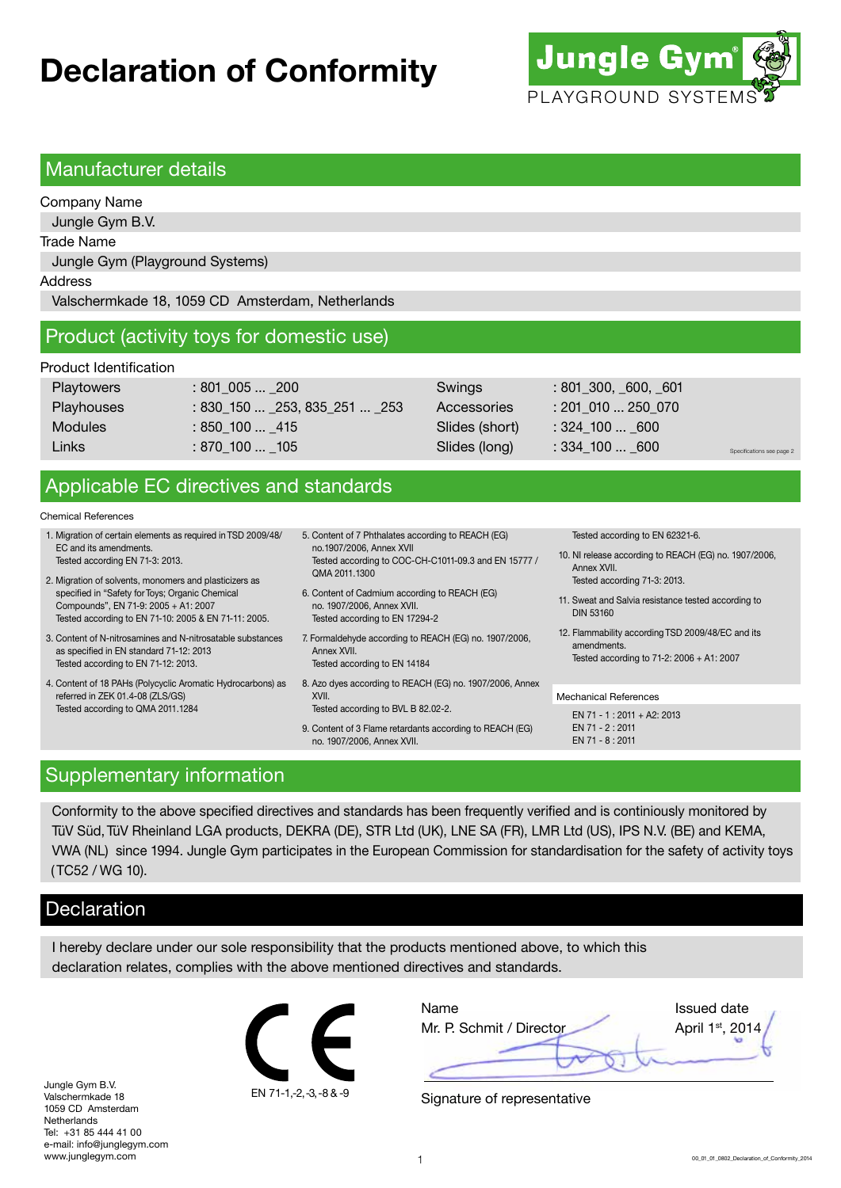# **Declaration of Conformity**



#### Manufacturer details

Company Name Jungle Gym B.V. Trade Name Jungle Gym (Playground Systems) Address Valschermkade 18, 1059 CD Amsterdam, Netherlands

### Product (activity toys for domestic use)

#### Product Identification

| Playtowers     | $:801\,005$ 200                  | Swings         | : 801, 300, 600, 601 |                           |
|----------------|----------------------------------|----------------|----------------------|---------------------------|
| Playhouses     | $: 830_150$ $253, 835_251$ $253$ | Accessories    | $: 201$ 010  250 070 |                           |
| <b>Modules</b> | : 850 100  415                   | Slides (short) | $:324\_100$ 600      |                           |
| Links          | $:870\_100$ $\_105$              | Slides (long)  | $: 334\_100  600$    | Specifications see page 2 |
|                |                                  |                |                      |                           |

## Applicable EC directives and standards

#### Chemical References

- 1. Migration of certain elements as required in TSD 2009/48/ EC and its amendments. Tested according EN 71-3: 2013.
- 2. Migration of solvents, monomers and plasticizers as specified in "Safety for Toys; Organic Chemical Compounds", EN 71-9: 2005 + A1: 2007 Tested according to EN 71-10: 2005 & EN 71-11: 2005.
- 3. Content of N-nitrosamines and N-nitrosatable substances as specified in EN standard 71-12: 2013 Tested according to EN 71-12: 2013.
- 4. Content of 18 PAHs (Polycyclic Aromatic Hydrocarbons) as referred in ZEK 01.4-08 (ZLS/GS) Tested according to QMA 2011.1284
- 5. Content of 7 Phthalates according to REACH (EG) no.1907/2006, Annex XVII Tested according to COC-CH-C1011-09.3 and EN 15777 / QMA 2011.1300
- 6. Content of Cadmium according to REACH (EG) no. 1907/2006, Annex XVII. Tested according to EN 17294-2
- 7. Formaldehyde according to REACH (EG) no. 1907/2006, Annex XVII.
	- Tested according to EN 14184
- 8. Azo dyes according to REACH (EG) no. 1907/2006, Annex XVII. Tested according to BVL B 82.02-2.
- 9. Content of 3 Flame retardants according to REACH (EG) no. 1907/2006, Annex XVII.

Tested according to EN 62321-6.

- 10. NI release according to REACH (EG) no. 1907/2006, Annex XVII. Tested according 71-3: 2013.
- 11. Sweat and Salvia resistance tested according to DIN 53160
- 12. Flammability according TSD 2009/48/EC and its amendments. Tested according to 71-2: 2006 + A1: 2007

#### Mechanical References

 $FN 71 - 1 \cdot 2011 + A2 \cdot 2013$ EN 71 - 2 : 2011 EN 71 - 8 : 2011

#### Supplementary information

Conformity to the above specified directives and standards has been frequently verified and is continiously monitored by TüV Süd, TüV Rheinland LGA products, DEKRA (DE), STR Ltd (UK), LNE SA (FR), LMR Ltd (US), IPS N.V. (BE) and KEMA, VWA (NL) since 1994. Jungle Gym participates in the European Commission for standardisation for the safety of activity toys ( TC52 / WG 10).

### **Declaration**

I hereby declare under our sole responsibility that the products mentioned above, to which this declaration relates, complies with the above mentioned directives and standards.

Jungle Gym B.V. Valschermkade 18 1059 CD Amsterdam Netherlands Tel: +31 85 444 41 00 e-mail: info@junglegym.com www.junglegym.com



| Name                     | <b>Issued date</b> |
|--------------------------|--------------------|
| Mr. P. Schmit / Director | April 1st, 2014    |
|                          |                    |

Signature of representative